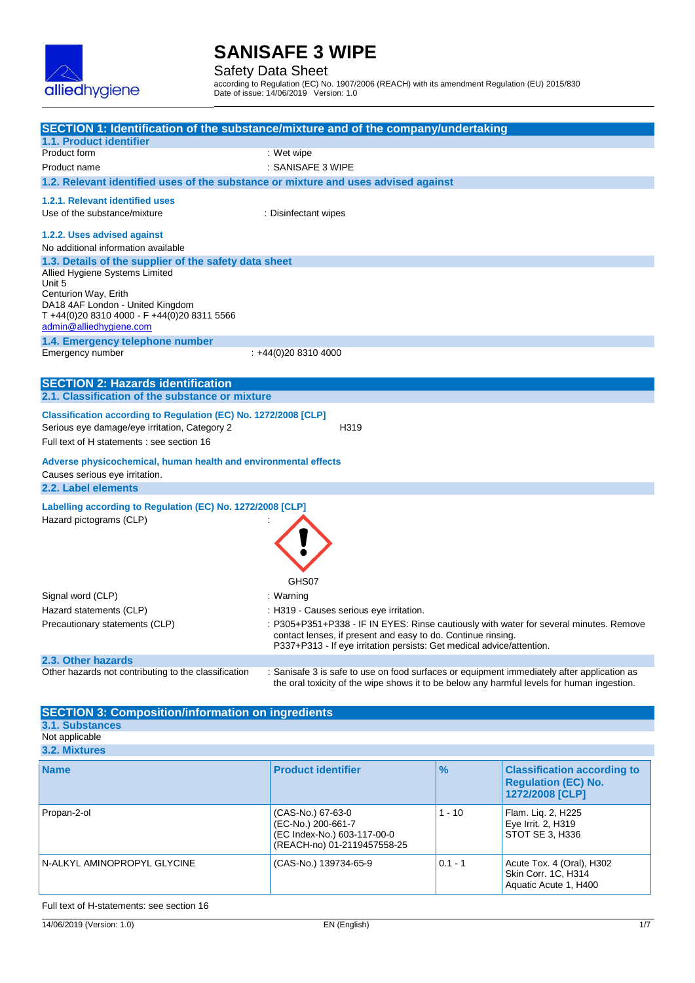

Safety Data Sheet

according to Regulation (EC) No. 1907/2006 (REACH) with its amendment Regulation (EU) 2015/830 Date of issue: 14/06/2019 Version: 1.0

|                                                                                             | SECTION 1: Identification of the substance/mixture and of the company/undertaking                                                     |
|---------------------------------------------------------------------------------------------|---------------------------------------------------------------------------------------------------------------------------------------|
| 1.1. Product identifier                                                                     |                                                                                                                                       |
| Product form                                                                                | : Wet wipe                                                                                                                            |
| Product name                                                                                | : SANISAFE 3 WIPE                                                                                                                     |
| 1.2. Relevant identified uses of the substance or mixture and uses advised against          |                                                                                                                                       |
| 1.2.1. Relevant identified uses                                                             |                                                                                                                                       |
| Use of the substance/mixture                                                                |                                                                                                                                       |
|                                                                                             | : Disinfectant wipes                                                                                                                  |
| 1.2.2. Uses advised against                                                                 |                                                                                                                                       |
| No additional information available                                                         |                                                                                                                                       |
| 1.3. Details of the supplier of the safety data sheet                                       |                                                                                                                                       |
| Allied Hygiene Systems Limited                                                              |                                                                                                                                       |
| Unit 5<br>Centurion Way, Erith                                                              |                                                                                                                                       |
| DA18 4AF London - United Kingdom                                                            |                                                                                                                                       |
| T +44(0)20 8310 4000 - F +44(0)20 8311 5566                                                 |                                                                                                                                       |
| admin@alliedhygiene.com                                                                     |                                                                                                                                       |
| 1.4. Emergency telephone number                                                             |                                                                                                                                       |
| Emergency number                                                                            | $: +44(0)2083104000$                                                                                                                  |
|                                                                                             |                                                                                                                                       |
| <b>SECTION 2: Hazards identification</b><br>2.1. Classification of the substance or mixture |                                                                                                                                       |
|                                                                                             |                                                                                                                                       |
| Classification according to Regulation (EC) No. 1272/2008 [CLP]                             |                                                                                                                                       |
| Serious eye damage/eye irritation, Category 2                                               | H319                                                                                                                                  |
| Full text of H statements : see section 16                                                  |                                                                                                                                       |
| Adverse physicochemical, human health and environmental effects                             |                                                                                                                                       |
| Causes serious eye irritation.                                                              |                                                                                                                                       |
| 2.2. Label elements                                                                         |                                                                                                                                       |
| Labelling according to Regulation (EC) No. 1272/2008 [CLP]                                  |                                                                                                                                       |
| Hazard pictograms (CLP)                                                                     |                                                                                                                                       |
|                                                                                             |                                                                                                                                       |
|                                                                                             |                                                                                                                                       |
|                                                                                             |                                                                                                                                       |
|                                                                                             |                                                                                                                                       |
|                                                                                             | GHS07                                                                                                                                 |
| Signal word (CLP)                                                                           | : Warning                                                                                                                             |
| Hazard statements (CLP)                                                                     | : H319 - Causes serious eye irritation.                                                                                               |
| Precautionary statements (CLP)                                                              | : P305+P351+P338 - IF IN EYES: Rinse cautiously with water for several minutes. Remove                                                |
|                                                                                             | contact lenses, if present and easy to do. Continue rinsing.<br>P337+P313 - If eye irritation persists: Get medical advice/attention. |
| 2.3. Other hazards                                                                          |                                                                                                                                       |
| Other hazards not contributing to the classification                                        | : Sanisafe 3 is safe to use on food surfaces or equipment immediately after application as                                            |
|                                                                                             | the oral toxicity of the wipe shows it to be below any harmful levels for human ingestion.                                            |
|                                                                                             |                                                                                                                                       |
| <b>SECTION 3: Composition/information on ingredients</b>                                    |                                                                                                                                       |

#### **3.1. Substances**

Not applicable **3.2. Mixtures**

| <b>Name</b>                 | <b>Product identifier</b>                                                                             | $\frac{9}{6}$ | <b>Classification according to</b><br><b>Regulation (EC) No.</b><br>1272/2008 [CLP] |
|-----------------------------|-------------------------------------------------------------------------------------------------------|---------------|-------------------------------------------------------------------------------------|
| Propan-2-ol                 | (CAS-No.) 67-63-0<br>(EC-No.) 200-661-7<br>(EC Index-No.) 603-117-00-0<br>(REACH-no) 01-2119457558-25 | $1 - 10$      | Flam. Lig. 2, H225<br>Eye Irrit. 2, H319<br>STOT SE 3, H336                         |
| N-ALKYL AMINOPROPYL GLYCINE | (CAS-No.) 139734-65-9                                                                                 | $0.1 - 1$     | Acute Tox. 4 (Oral), H302<br>Skin Corr. 1C, H314<br>Aquatic Acute 1, H400           |

### Full text of H-statements: see section 16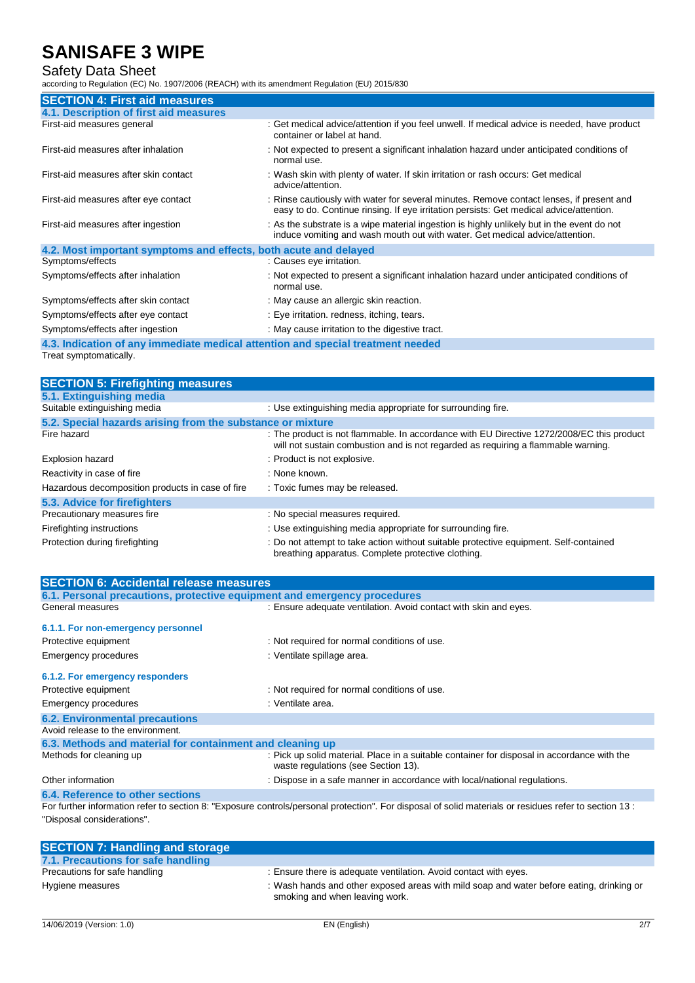### Safety Data Sheet

according to Regulation (EC) No. 1907/2006 (REACH) with its amendment Regulation (EU) 2015/830

| <b>SECTION 4: First aid measures</b>                                            |                                                                                                                                                                                     |
|---------------------------------------------------------------------------------|-------------------------------------------------------------------------------------------------------------------------------------------------------------------------------------|
| 4.1. Description of first aid measures                                          |                                                                                                                                                                                     |
| First-aid measures general                                                      | : Get medical advice/attention if you feel unwell. If medical advice is needed, have product<br>container or label at hand.                                                         |
| First-aid measures after inhalation                                             | : Not expected to present a significant inhalation hazard under anticipated conditions of<br>normal use.                                                                            |
| First-aid measures after skin contact                                           | : Wash skin with plenty of water. If skin irritation or rash occurs: Get medical<br>advice/attention.                                                                               |
| First-aid measures after eye contact                                            | : Rinse cautiously with water for several minutes. Remove contact lenses, if present and<br>easy to do. Continue rinsing. If eye irritation persists: Get medical advice/attention. |
| First-aid measures after ingestion                                              | : As the substrate is a wipe material ingestion is highly unlikely but in the event do not<br>induce vomiting and wash mouth out with water. Get medical advice/attention.          |
| 4.2. Most important symptoms and effects, both acute and delayed                |                                                                                                                                                                                     |
| Symptoms/effects                                                                | : Causes eye irritation.                                                                                                                                                            |
| Symptoms/effects after inhalation                                               | : Not expected to present a significant inhalation hazard under anticipated conditions of<br>normal use.                                                                            |
| Symptoms/effects after skin contact                                             | : May cause an allergic skin reaction.                                                                                                                                              |
| Symptoms/effects after eye contact                                              | : Eye irritation. redness, itching, tears.                                                                                                                                          |
| Symptoms/effects after ingestion                                                | : May cause irritation to the digestive tract.                                                                                                                                      |
| 4.3. Indication of any immediate medical attention and special treatment needed |                                                                                                                                                                                     |

Treat symptomatically.

| <b>SECTION 5: Firefighting measures</b>                    |                                                                                                                                                                                |
|------------------------------------------------------------|--------------------------------------------------------------------------------------------------------------------------------------------------------------------------------|
| 5.1. Extinguishing media                                   |                                                                                                                                                                                |
| Suitable extinguishing media                               | : Use extinguishing media appropriate for surrounding fire.                                                                                                                    |
| 5.2. Special hazards arising from the substance or mixture |                                                                                                                                                                                |
| Fire hazard                                                | : The product is not flammable. In accordance with EU Directive 1272/2008/EC this product<br>will not sustain combustion and is not regarded as requiring a flammable warning. |
| <b>Explosion hazard</b>                                    | : Product is not explosive.                                                                                                                                                    |
| Reactivity in case of fire                                 | : None known.                                                                                                                                                                  |
| Hazardous decomposition products in case of fire           | : Toxic fumes may be released.                                                                                                                                                 |
| 5.3. Advice for firefighters                               |                                                                                                                                                                                |
| Precautionary measures fire                                | : No special measures required.                                                                                                                                                |
| Firefighting instructions                                  | : Use extinguishing media appropriate for surrounding fire.                                                                                                                    |
| Protection during firefighting                             | : Do not attempt to take action without suitable protective equipment. Self-contained<br>breathing apparatus. Complete protective clothing.                                    |

| <b>SECTION 6: Accidental release measures</b>                            |                                                                                                                                                       |
|--------------------------------------------------------------------------|-------------------------------------------------------------------------------------------------------------------------------------------------------|
| 6.1. Personal precautions, protective equipment and emergency procedures |                                                                                                                                                       |
| General measures                                                         | : Ensure adequate ventilation. Avoid contact with skin and eyes.                                                                                      |
| 6.1.1. For non-emergency personnel                                       |                                                                                                                                                       |
| Protective equipment                                                     | : Not required for normal conditions of use.                                                                                                          |
| <b>Emergency procedures</b>                                              | : Ventilate spillage area.                                                                                                                            |
| 6.1.2. For emergency responders                                          |                                                                                                                                                       |
| Protective equipment                                                     | : Not required for normal conditions of use.                                                                                                          |
| <b>Emergency procedures</b>                                              | : Ventilate area.                                                                                                                                     |
| <b>6.2. Environmental precautions</b>                                    |                                                                                                                                                       |
| Avoid release to the environment.                                        |                                                                                                                                                       |
| 6.3. Methods and material for containment and cleaning up                |                                                                                                                                                       |
| Methods for cleaning up                                                  | : Pick up solid material. Place in a suitable container for disposal in accordance with the<br>waste regulations (see Section 13).                    |
| Other information                                                        | : Dispose in a safe manner in accordance with local/national regulations.                                                                             |
| 6.4. Reference to other sections                                         |                                                                                                                                                       |
|                                                                          | For further information refer to section 8: "Exposure controls/personal protection". For disposal of solid materials or residues refer to section 13: |
| "Disposal considerations".                                               |                                                                                                                                                       |

| <b>SECTION 7: Handling and storage</b> |                                                                                                                            |
|----------------------------------------|----------------------------------------------------------------------------------------------------------------------------|
| 7.1. Precautions for safe handling     |                                                                                                                            |
| Precautions for safe handling          | : Ensure there is adequate ventilation. Avoid contact with eyes.                                                           |
| Hygiene measures                       | : Wash hands and other exposed areas with mild soap and water before eating, drinking or<br>smoking and when leaving work. |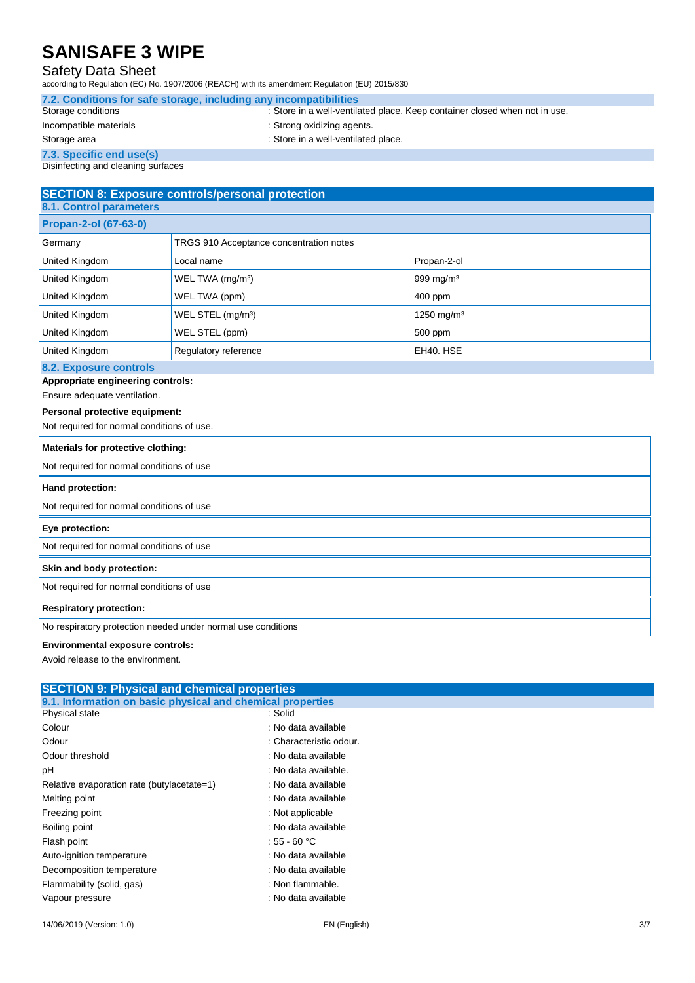### Safety Data Sheet

according to Regulation (EC) No. 1907/2006 (REACH) with its amendment Regulation (EU) 2015/830

| 7.2. Conditions for safe storage, including any incompatibilities |                                                                            |
|-------------------------------------------------------------------|----------------------------------------------------------------------------|
| Storage conditions                                                | : Store in a well-ventilated place. Keep container closed when not in use. |

Incompatible materials **incompatible materials** incompatible materials

**7.3. Specific end use(s)**

Storage area **in a well-ventilated place**.

Disinfecting and cleaning surfaces

#### **SECTION 8: Exposure controls/personal protection 8.1. Control parameters**

| <b>U.I. CONTROL PRIMINGLY</b>        |                                         |                        |
|--------------------------------------|-----------------------------------------|------------------------|
| <b>Propan-2-ol (67-63-0)</b>         |                                         |                        |
| Germany                              | TRGS 910 Acceptance concentration notes |                        |
| United Kingdom                       | Local name                              | Propan-2-ol            |
| United Kingdom                       | WEL TWA (mg/m <sup>3</sup> )            | 999 mg/m $3$           |
| United Kingdom                       | WEL TWA (ppm)                           | 400 ppm                |
| United Kingdom                       | WEL STEL (mg/m <sup>3</sup> )           | 1250 mg/m <sup>3</sup> |
| United Kingdom                       | WEL STEL (ppm)                          | 500 ppm                |
| United Kingdom                       | Regulatory reference                    | EH40, HSE              |
| <b>CO.</b> From a strong providently |                                         |                        |

### **8.2. Exposure controls**

**Appropriate engineering controls:**

#### Ensure adequate ventilation.

#### **Personal protective equipment:**

Not required for normal conditions of use.

| Materials for protective clothing:                           |
|--------------------------------------------------------------|
| Not required for normal conditions of use                    |
| Hand protection:                                             |
| Not required for normal conditions of use                    |
| Eye protection:                                              |
| Not required for normal conditions of use                    |
| Skin and body protection:                                    |
| Not required for normal conditions of use                    |
| <b>Respiratory protection:</b>                               |
| No respiratory protection needed under normal use conditions |

#### **Environmental exposure controls:**

Avoid release to the environment.

| <b>SECTION 9: Physical and chemical properties</b>         |                         |  |
|------------------------------------------------------------|-------------------------|--|
| 9.1. Information on basic physical and chemical properties |                         |  |
| Physical state                                             | :Solid                  |  |
| Colour                                                     | : No data available     |  |
| Odour                                                      | : Characteristic odour. |  |
| Odour threshold                                            | : No data available     |  |
| pH                                                         | : No data available.    |  |
| Relative evaporation rate (butylacetate=1)                 | : No data available     |  |
| Melting point                                              | : No data available     |  |
| Freezing point                                             | : Not applicable        |  |
| Boiling point                                              | : No data available     |  |
| Flash point                                                | : 55 $-60 °C$           |  |
| Auto-ignition temperature                                  | : No data available     |  |
| Decomposition temperature                                  | : No data available     |  |
| Flammability (solid, gas)                                  | : Non flammable.        |  |
| Vapour pressure                                            | : No data available     |  |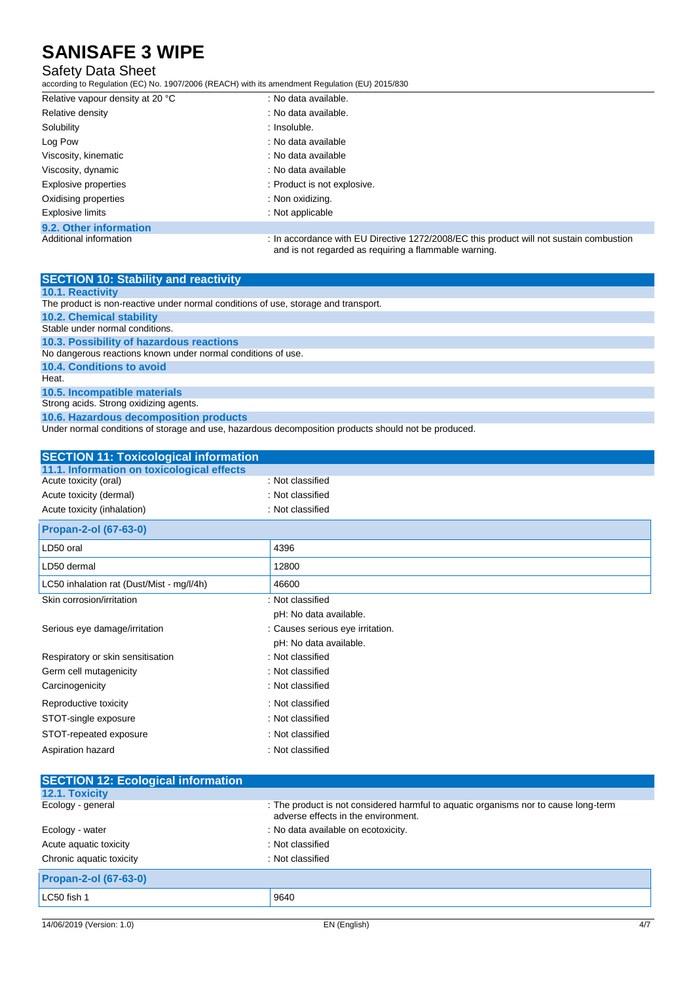### Safety Data Sheet

according to Regulation (EC) No. 1907/2006 (REACH) with its amendment Regulation (EU) 2015/830

| Relative vapour density at 20 °C | : No data available.                                                                                                                             |
|----------------------------------|--------------------------------------------------------------------------------------------------------------------------------------------------|
| Relative density                 | : No data available.                                                                                                                             |
| Solubility                       | : Insoluble.                                                                                                                                     |
| Log Pow                          | : No data available                                                                                                                              |
| Viscosity, kinematic             | : No data available                                                                                                                              |
| Viscosity, dynamic               | : No data available                                                                                                                              |
| Explosive properties             | : Product is not explosive.                                                                                                                      |
| Oxidising properties             | : Non oxidizing.                                                                                                                                 |
| Explosive limits                 | : Not applicable                                                                                                                                 |
| 9.2. Other information           |                                                                                                                                                  |
| Additional information           | : In accordance with EU Directive 1272/2008/EC this product will not sustain combustion<br>and is not regarded as requiring a flammable warning. |

| <b>SECTION 10: Stability and reactivity</b>                                        |
|------------------------------------------------------------------------------------|
| <b>10.1. Reactivity</b>                                                            |
| The product is non-reactive under normal conditions of use, storage and transport. |
| <b>10.2. Chemical stability</b>                                                    |
| Stable under normal conditions.                                                    |
| 10.3. Possibility of hazardous reactions                                           |
| No dangerous reactions known under normal conditions of use.                       |
| 10.4. Conditions to avoid                                                          |
| Heat.                                                                              |
| 10.5. Incompatible materials                                                       |
| Strong acids. Strong oxidizing agents.                                             |
| 10.6. Hazardous decomposition products                                             |

Under normal conditions of storage and use, hazardous decomposition products should not be produced.

| <b>SECTION 11: Toxicological information</b> |                                  |
|----------------------------------------------|----------------------------------|
| 11.1. Information on toxicological effects   |                                  |
| Acute toxicity (oral)                        | : Not classified                 |
| Acute toxicity (dermal)                      | : Not classified                 |
| Acute toxicity (inhalation)                  | : Not classified                 |
| Propan-2-ol (67-63-0)                        |                                  |
| LD50 oral                                    | 4396                             |
| LD50 dermal                                  | 12800                            |
| LC50 inhalation rat (Dust/Mist - mg/l/4h)    | 46600                            |
| Skin corrosion/irritation                    | : Not classified                 |
|                                              | pH: No data available.           |
| Serious eye damage/irritation                | : Causes serious eye irritation. |
|                                              | pH: No data available.           |
| Respiratory or skin sensitisation            | : Not classified                 |
| Germ cell mutagenicity                       | : Not classified                 |
| Carcinogenicity                              | : Not classified                 |
| Reproductive toxicity                        | : Not classified                 |
| STOT-single exposure                         | : Not classified                 |
| STOT-repeated exposure                       | : Not classified                 |
| Aspiration hazard                            | : Not classified                 |

| <b>SECTION 12: Ecological information</b> |                                                                                                                            |
|-------------------------------------------|----------------------------------------------------------------------------------------------------------------------------|
| 12.1. Toxicity                            |                                                                                                                            |
| Ecology - general                         | : The product is not considered harmful to aquatic organisms nor to cause long-term<br>adverse effects in the environment. |
| Ecology - water                           | : No data available on ecotoxicity.                                                                                        |
| Acute aquatic toxicity                    | : Not classified                                                                                                           |
| Chronic aquatic toxicity                  | : Not classified                                                                                                           |
| <b>Propan-2-ol (67-63-0)</b>              |                                                                                                                            |
| LC50 fish 1                               | 9640                                                                                                                       |
|                                           |                                                                                                                            |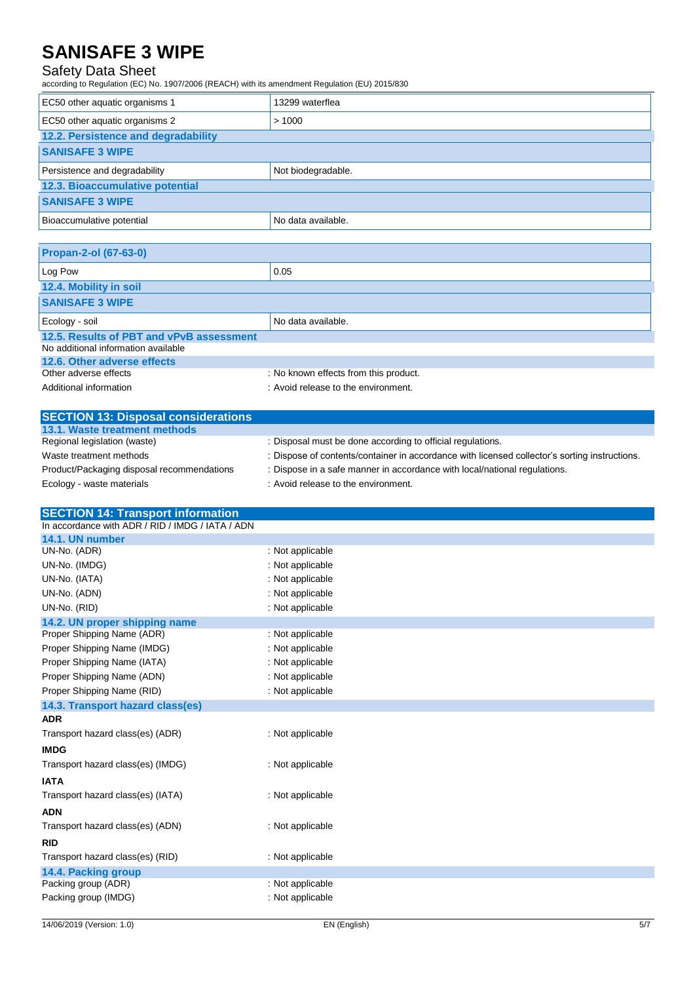### Safety Data Sheet

according to Regulation (EC) No. 1907/2006 (REACH) with its amendment Regulation (EU) 2015/830

| EC50 other aquatic organisms 1      | 13299 waterflea    |
|-------------------------------------|--------------------|
| EC50 other aquatic organisms 2      | >1000              |
| 12.2. Persistence and degradability |                    |
| <b>SANISAFE 3 WIPE</b>              |                    |
| Persistence and degradability       | Not biodegradable. |
| 12.3. Bioaccumulative potential     |                    |
| <b>SANISAFE 3 WIPE</b>              |                    |
| Bioaccumulative potential           | No data available. |

| <b>Propan-2-ol (67-63-0)</b>             |                                       |
|------------------------------------------|---------------------------------------|
| Log Pow                                  | 0.05                                  |
| 12.4. Mobility in soil                   |                                       |
| <b>SANISAFE 3 WIPE</b>                   |                                       |
| Ecology - soil                           | No data available.                    |
| 12.5. Results of PBT and vPvB assessment |                                       |
| No additional information available      |                                       |
| 12.6. Other adverse effects              |                                       |
| Other adverse effects                    | : No known effects from this product. |
| Additional information                   | : Avoid release to the environment.   |

| <b>SECTION 13: Disposal considerations</b> |                                                                                               |
|--------------------------------------------|-----------------------------------------------------------------------------------------------|
| 13.1. Waste treatment methods              |                                                                                               |
| Regional legislation (waste)               | : Disposal must be done according to official regulations.                                    |
| Waste treatment methods                    | : Dispose of contents/container in accordance with licensed collector's sorting instructions. |
| Product/Packaging disposal recommendations | : Dispose in a safe manner in accordance with local/national regulations.                     |
| Ecology - waste materials                  | : Avoid release to the environment.                                                           |

| <b>SECTION 14: Transport information</b>         |                  |
|--------------------------------------------------|------------------|
| In accordance with ADR / RID / IMDG / IATA / ADN |                  |
| 14.1. UN number                                  |                  |
| UN-No. (ADR)                                     | : Not applicable |
| UN-No. (IMDG)                                    | : Not applicable |
| UN-No. (IATA)                                    | : Not applicable |
| UN-No. (ADN)                                     | : Not applicable |
| UN-No. (RID)                                     | : Not applicable |
| 14.2. UN proper shipping name                    |                  |
| Proper Shipping Name (ADR)                       | : Not applicable |
| Proper Shipping Name (IMDG)                      | : Not applicable |
| Proper Shipping Name (IATA)                      | : Not applicable |
| Proper Shipping Name (ADN)                       | : Not applicable |
| Proper Shipping Name (RID)                       | : Not applicable |
| 14.3. Transport hazard class(es)                 |                  |
| <b>ADR</b>                                       |                  |
| Transport hazard class(es) (ADR)                 | : Not applicable |
| <b>IMDG</b>                                      |                  |
| Transport hazard class(es) (IMDG)                | : Not applicable |
| <b>IATA</b>                                      |                  |
| Transport hazard class(es) (IATA)                | : Not applicable |
| <b>ADN</b>                                       |                  |
| Transport hazard class(es) (ADN)                 | : Not applicable |
| <b>RID</b>                                       |                  |
| Transport hazard class(es) (RID)                 | : Not applicable |
| 14.4. Packing group                              |                  |
| Packing group (ADR)                              | : Not applicable |
| Packing group (IMDG)                             | : Not applicable |
|                                                  |                  |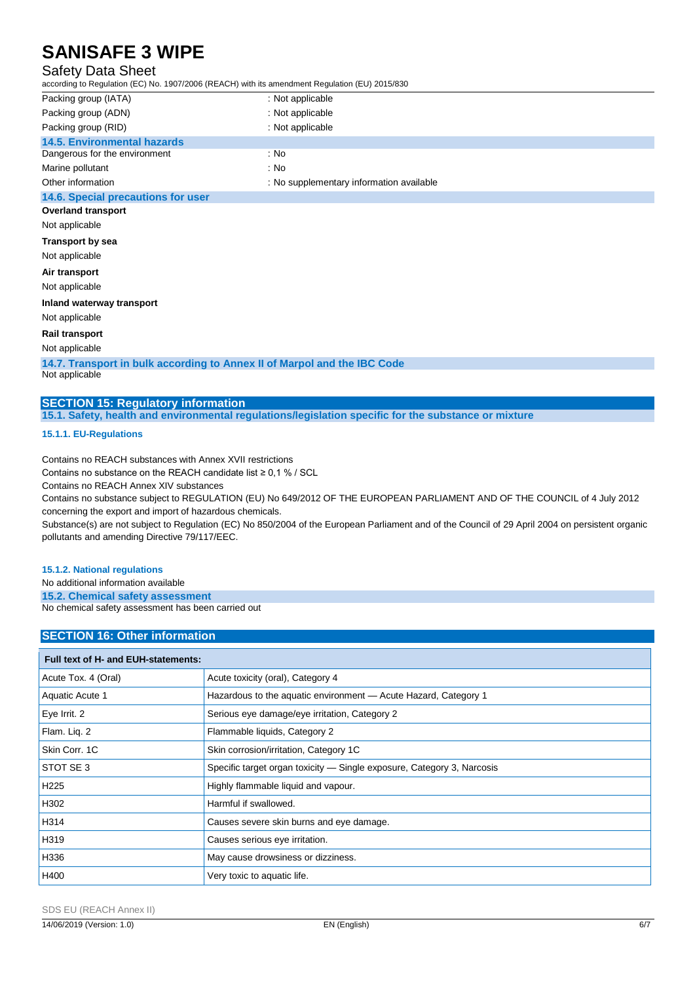### Safety Data Sheet

| according to Regulation (EC) No. 1907/2006 (REACH) with its amendment Regulation (EU) 2015/830 |                                          |  |
|------------------------------------------------------------------------------------------------|------------------------------------------|--|
| Packing group (IATA)                                                                           | : Not applicable                         |  |
| Packing group (ADN)                                                                            | : Not applicable                         |  |
| Packing group (RID)                                                                            | : Not applicable                         |  |
| <b>14.5. Environmental hazards</b>                                                             |                                          |  |
| Dangerous for the environment                                                                  | : No                                     |  |
| Marine pollutant                                                                               | : No                                     |  |
| Other information                                                                              | : No supplementary information available |  |
| 14.6. Special precautions for user                                                             |                                          |  |
| <b>Overland transport</b>                                                                      |                                          |  |
| Not applicable                                                                                 |                                          |  |
| <b>Transport by sea</b>                                                                        |                                          |  |
| Not applicable                                                                                 |                                          |  |
| Air transport                                                                                  |                                          |  |
| Not applicable                                                                                 |                                          |  |
| Inland waterway transport                                                                      |                                          |  |
| Not applicable                                                                                 |                                          |  |
| <b>Rail transport</b>                                                                          |                                          |  |

Not applicable

**14.7. Transport in bulk according to Annex II of Marpol and the IBC Code** Not applicable

**SECTION 15: Regulatory information**

**15.1. Safety, health and environmental regulations/legislation specific for the substance or mixture**

**15.1.1. EU-Regulations**

Contains no REACH substances with Annex XVII restrictions

Contains no substance on the REACH candidate list  $\geq 0.1$  % / SCL

Contains no REACH Annex XIV substances

Contains no substance subject to REGULATION (EU) No 649/2012 OF THE EUROPEAN PARLIAMENT AND OF THE COUNCIL of 4 July 2012 concerning the export and import of hazardous chemicals.

Substance(s) are not subject to Regulation (EC) No 850/2004 of the European Parliament and of the Council of 29 April 2004 on persistent organic pollutants and amending Directive 79/117/EEC.

#### **15.1.2. National regulations**

No additional information available

**15.2. Chemical safety assessment** No chemical safety assessment has been carried out

### **SECTION 16: Other information**

| Full text of H- and EUH-statements: |                                                                        |
|-------------------------------------|------------------------------------------------------------------------|
| Acute Tox. 4 (Oral)                 | Acute toxicity (oral), Category 4                                      |
| Aquatic Acute 1                     | Hazardous to the aquatic environment - Acute Hazard, Category 1        |
| Eye Irrit. 2                        | Serious eye damage/eye irritation, Category 2                          |
| Flam. Lig. 2                        | Flammable liquids, Category 2                                          |
| Skin Corr. 1C                       | Skin corrosion/irritation, Category 1C                                 |
| STOT SE 3                           | Specific target organ toxicity — Single exposure, Category 3, Narcosis |
| H <sub>225</sub>                    | Highly flammable liquid and vapour.                                    |
| H302                                | Harmful if swallowed.                                                  |
| H314                                | Causes severe skin burns and eye damage.                               |
| H319                                | Causes serious eye irritation.                                         |
| H336                                | May cause drowsiness or dizziness.                                     |
| H400                                | Very toxic to aquatic life.                                            |